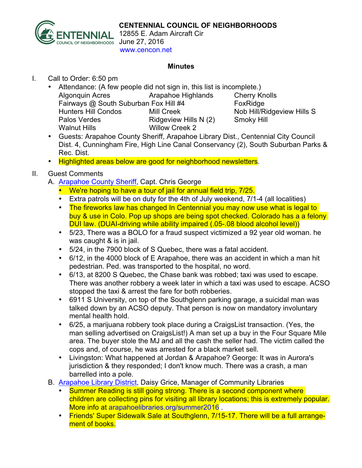

12855 E. Adam Aircraft Cir June 27, 2016 www.cencon.net

## **Minutes**

- I. Call to Order: 6:50 pm
	- Attendance: (A few people did not sign in, this list is incomplete.) Algonquin Acres Arapahoe Highlands Cherry Knolls Fairways @ South Suburban Fox Hill #4 FoxRidge Hunters Hill Condos Mill Creek Nob Hill/Ridgeview Hills S Palos Verdes **Ridgeview Hills N (2)** Smoky Hill Walnut Hills Willow Creek 2
	- Guests: Arapahoe County Sheriff, Arapahoe Library Dist., Centennial City Council Dist. 4, Cunningham Fire, High Line Canal Conservancy (2), South Suburban Parks & Rec. Dist.
	- Highlighted areas below are good for neighborhood newsletters.

## II. Guest Comments

- A. Arapahoe County Sheriff, Capt. Chris George
	- We're hoping to have a tour of jail for annual field trip, 7/25.
	- Extra patrols will be on duty for the 4th of July weekend, 7/1-4 (all localities)
	- The fireworks law has changed In Centennial you may now use what is legal to buy & use in Colo. Pop up shops are being spot checked. Colorado has a a felony DUI law. (DUAI-driving while ability impaired (.05-.08 blood alcohol level))
	- 5/23, There was a BOLO for a fraud suspect victimized a 92 year old woman. he was caught & is in jail.
	- 5/24, in the 7900 block of S Quebec, there was a fatal accident.
	- 6/12, in the 4000 block of E Arapahoe, there was an accident in which a man hit pedestrian. Ped. was transported to the hospital, no word.
	- 6/13, at 8200 S Quebec, the Chase bank was robbed; taxi was used to escape. There was another robbery a week later in which a taxi was used to escape. ACSO stopped the taxi & arrest the fare for both robberies.
	- 6911 S University, on top of the Southglenn parking garage, a suicidal man was talked down by an ACSO deputy. That person is now on mandatory involuntary mental health hold.
	- 6/25, a marijuana robbery took place during a CraigsList transaction. (Yes, the man selling advertised on CraigsList!) A man set up a buy in the Four Square Mile area. The buyer stole the MJ and all the cash the seller had. The victim called the cops and, of course, he was arrested for a black market sell.
	- Livingston: What happened at Jordan & Arapahoe? George: It was in Aurora's jurisdiction & they responded; I don't know much. There was a crash, a man barrelled into a pole.
- B. Arapahoe Library District, Daisy Grice, Manager of Community Libraries
	- Summer Reading is still going strong. There is a second component where children are collecting pins for visiting all library locations; this is extremely popular. More info at arapahoelibraries.org/summer2016 .
	- Friends' Super Sidewalk Sale at Southglenn, 7/15-17. There will be a full arrangement of books.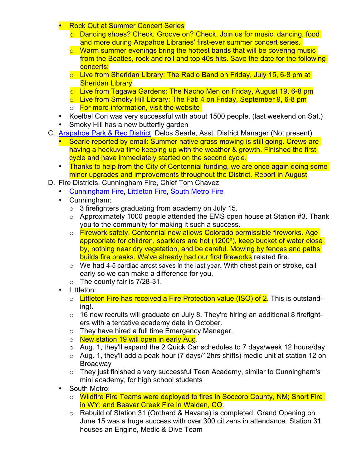- **Rock Out at Summer Concert Series** 
	- o Dancing shoes? Check. Groove on? Check. Join us for music, dancing, food and more during Arapahoe Libraries' first-ever summer concert series.
	- $\circ$  Warm summer evenings bring the hottest bands that will be covering music from the Beatles, rock and roll and top 40s hits. Save the date for the following concerts:
	- $\circ$  Live from Sheridan Library: The Radio Band on Friday, July 15, 6-8 pm at Sheridan Library
	- o Live from Tagawa Gardens: The Nacho Men on Friday, August 19, 6-8 pm
	- o Live from Smoky Hill Library: The Fab 4 on Friday, September 9, 6-8 pm
	- o For more information, visit the website
- Koelbel Con was very successful with about 1500 people. (last weekend on Sat.)
- Smoky Hill has a new butterfly garden
- C. Arapahoe Park & Rec District, Delos Searle, Asst. District Manager (Not present)
	- Searle reported by email: Summer native grass mowing is still going. Crews are having a heckuva time keeping up with the weather & growth. Finished the first cycle and have immediately started on the second cycle.
	- Thanks to help from the City of Centennial funding, we are once again doing some minor upgrades and improvements throughout the District. Report in August.
- D. Fire Districts, Cunningham Fire, Chief Tom Chavez
	- Cunningham Fire, Littleton Fire, South Metro Fire
	- Cunningham:
		- o 3 firefighters graduating from academy on July 15.
		- $\circ$  Approximately 1000 people attended the EMS open house at Station #3. Thank you to the community for making it such a success.
		- o Firework safety. Centennial now allows Colorado permissible fireworks. Age appropriate for children, sparklers are hot (1200º), keep bucket of water close by, nothing near dry vegetation, and be careful. Mowing by fences and paths builds fire breaks. We've already had our first fireworks related fire.
		- $\circ$  We had 4-5 cardiac arrest saves in the last year. With chest pain or stroke, call early so we can make a difference for you.
		- $\circ$  The county fair is 7/28-31.
	- Littleton:
		- $\circ$  Littleton Fire has received a Fire Protection value (ISO) of 2. This is outstanding!.
		- $\circ$  16 new recruits will graduate on July 8. They're hiring an additional 8 firefighters with a tentative academy date in October.
		- o They have hired a full time Emergency Manager.
		- o New station 19 will open in early Aug.
		- o Aug. 1, they'll expand the 2 Quick Car schedules to 7 days/week 12 hours/day
		- o Aug. 1, they'll add a peak hour (7 days/12hrs shifts) medic unit at station 12 on Broadway
		- o They just finished a very successful Teen Academy, similar to Cunningham's mini academy, for high school students
	- South Metro:
		- o Wildfire Fire Teams were deployed to fires in Soccoro County, NM; Short Fire in WY; and Beaver Creek Fire in Walden, CO.
		- $\circ$  Rebuild of Station 31 (Orchard & Havana) is completed. Grand Opening on June 15 was a huge success with over 300 citizens in attendance. Station 31 houses an Engine, Medic & Dive Team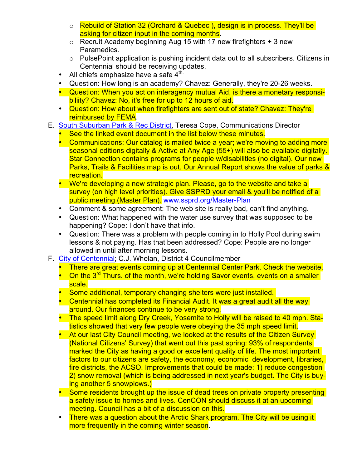- o Rebuild of Station 32 (Orchard & Quebec), design is in process. They'll be asking for citizen input in the coming months.
- $\circ$  Recruit Academy beginning Aug 15 with 17 new firefighters + 3 new Paramedics.
- o PulsePoint application is pushing incident data out to all subscribers. Citizens in Centennial should be receiving updates.
- All chiefs emphasize have a safe  $4^{\text{th}}$ .
- Question: How long is an academy? Chavez: Generally, they're 20-26 weeks.
- Question: When you act on interagency mutual Aid, is there a monetary responsibiliity? Chavez: No, it's free for up to 12 hours of aid.
- Question: How about when firefighters are sent out of state? Chavez: They're reimbursed by FEMA.
- E. South Suburban Park & Rec District, Teresa Cope, Communications Director
	- See the linked event document in the list below these minutes.
	- Communications: Our catalog is mailed twice a year; we're moving to adding more seasonal editions digitally & Active at Any Age (55+) will also be available digitally. Star Connection contains programs for people w/disabilities (no digital). Our new Parks, Trails & Facilities map is out. Our Annual Report shows the value of parks & recreation.
	- We're developing a new strategic plan. Please, go to the website and take a survey (on high level priorities). Give SSPRD your email & you'll be notified of a public meeting (Master Plan). www.ssprd.org/Master-Plan
	- Comment & some agreement: The web site is really bad, can't find anything.
	- Question: What happened with the water use survey that was supposed to be happening? Cope: I don't have that info.
	- Question: There was a problem with people coming in to Holly Pool during swim lessons & not paying. Has that been addressed? Cope: People are no longer allowed in until after morning lessons.
- F. City of Centennial; C.J. Whelan, District 4 Councilmember
	- There are great events coming up at Centennial Center Park. Check the website.
	- On the 3<sup>rd</sup> Thurs. of the month, we're holding Savor events, events on a smaller scale.
	- Some additional, temporary changing shelters were just installed.
	- Centennial has completed its Financial Audit. It was a great audit all the way around. Our finances continue to be very strong.
	- The speed limit along Dry Creek, Yosemite to Holly will be raised to 40 mph. Statistics showed that very few people were obeying the 35 mph speed limit.
	- At our last City Council meeting, we looked at the results of the Citizen Survey (National Citizens' Survey) that went out this past spring: 93% of respondents marked the City as having a good or excellent quality of life. The most important factors to our citizens are safety, the economy, economic development, libraries, fire districts, the ACSO. Improvements that could be made: 1) reduce congestion 2) snow removal (which is being addressed in next year's budget. The City is buying another 5 snowplows.)
	- Some residents brought up the issue of dead trees on private property presenting a safety issue to homes and lives. CenCON should discuss it at an upcoming meeting. Council has a bit of a discussion on this.
	- There was a question about the Arctic Shark program. The City will be using it more frequently in the coming winter season.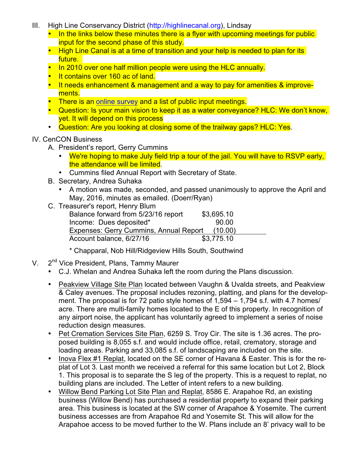- III. High Line Conservancy District (http://highlinecanal.org), Lindsay
	- In the links below these minutes there is a flyer with upcoming meetings for public input for the second phase of this study.
	- High Line Canal is at a time of transition and your help is needed to plan for its future.
	- In 2010 over one half million people were using the HLC annually.
	- It contains over 160 ac of land.
	- It needs enhancement & management and a way to pay for amenities & improvements.
	- There is an online survey and a list of public input meetings.
	- Question: Is your main vision to keep it as a water conveyance? HLC: We don't know, yet. It will depend on this process
	- Question: Are you looking at closing some of the trailway gaps? HLC: Yes.

## IV. CenCON Business

- A. President's report, Gerry Cummins
	- We're hoping to make July field trip a tour of the jail. You will have to RSVP early, the attendance will be limited.
	- Cummins filed Annual Report with Secretary of State.
- B. Secretary, Andrea Suhaka
	- A motion was made, seconded, and passed unanimously to approve the April and May, 2016, minutes as emailed. (Doerr/Ryan)
- C. Treasurer's report, Henry Blum Balance forward from 5/23/16 report \$3,695.10 Income: Dues deposited\* 90.00 Expenses: Gerry Cummins, Annual Report (10.00) Account balance, 6/27/16 \$3,775.10
	- \* Chapparal, Nob Hill/Ridgeview Hills South, Southwind
- V. 2<sup>nd</sup> Vice President, Plans, Tammy Maurer
	- C.J. Whelan and Andrea Suhaka left the room during the Plans discussion.
	- Peakview Village Site Plan located between Vaughn & Uvalda streets, and Peakview & Caley avenues. The proposal includes rezoning, platting, and plans for the development. The proposal is for 72 patio style homes of 1,594 – 1,794 s.f. with 4.7 homes/ acre. There are multi-family homes located to the E of this property. In recognition of any airport noise, the applicant has voluntarily agreed to implement a series of noise reduction design measures.
	- Pet Cremation Services Site Plan, 6259 S. Troy Cir. The site is 1.36 acres. The proposed building is 8,055 s.f. and would include office, retail, crematory, storage and loading areas. Parking and 33,085 s.f. of landscaping are included on the site.
	- Inova Flex #1 Replat, located on the SE corner of Havana & Easter. This is for the replat of Lot 3. Last month we received a referral for this same location but Lot 2, Block 1. This proposal is to separate the S leg of the property. This is a request to replat, no building plans are included. The Letter of intent refers to a new building.
	- Willow Bend Parking Lot Site Plan and Replat, 8586 E. Arapahoe Rd, an existing business (Willow Bend) has purchased a residential property to expand their parking area. This business is located at the SW corner of Arapahoe & Yosemite. The current business accesses are from Arapahoe Rd and Yosemite St. This will allow for the Arapahoe access to be moved further to the W. Plans include an 8' privacy wall to be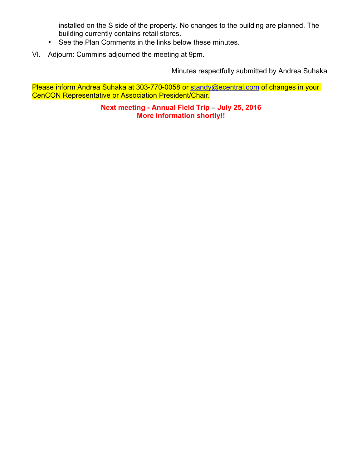installed on the S side of the property. No changes to the building are planned. The building currently contains retail stores.

- See the Plan Comments in the links below these minutes.
- VI. Adjourn: Cummins adjourned the meeting at 9pm.

Minutes respectfully submitted by Andrea Suhaka

Please inform Andrea Suhaka at 303-770-0058 or standy@ecentral.com of changes in your CenCON Representative or Association President/Chair.

> **Next meeting - Annual Field Trip – July 25, 2016 More information shortly!!**